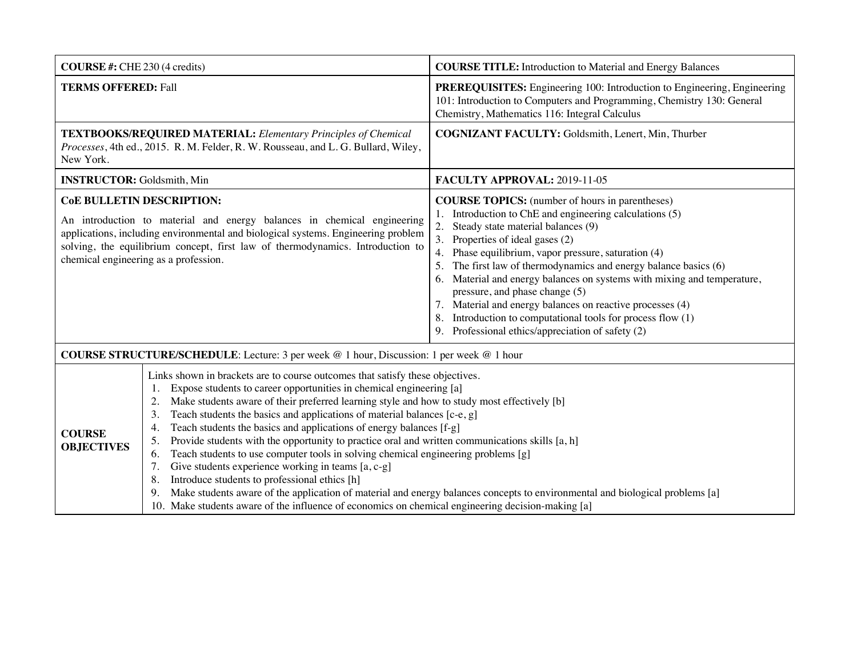| <b>COURSE</b> #: CHE 230 (4 credits)                                                                                                                                                                                                                                                                                        |                                                                                                                                                                                                                                                                                                                                                                                                                                                                                                                                                                                                                                                                                                                                                                                                                                                                                                                                                                                        | <b>COURSE TITLE:</b> Introduction to Material and Energy Balances                                                                                                                                                                                                                                                                                                                                                                                                                                                                                                                                                                 |
|-----------------------------------------------------------------------------------------------------------------------------------------------------------------------------------------------------------------------------------------------------------------------------------------------------------------------------|----------------------------------------------------------------------------------------------------------------------------------------------------------------------------------------------------------------------------------------------------------------------------------------------------------------------------------------------------------------------------------------------------------------------------------------------------------------------------------------------------------------------------------------------------------------------------------------------------------------------------------------------------------------------------------------------------------------------------------------------------------------------------------------------------------------------------------------------------------------------------------------------------------------------------------------------------------------------------------------|-----------------------------------------------------------------------------------------------------------------------------------------------------------------------------------------------------------------------------------------------------------------------------------------------------------------------------------------------------------------------------------------------------------------------------------------------------------------------------------------------------------------------------------------------------------------------------------------------------------------------------------|
| <b>TERMS OFFERED: Fall</b>                                                                                                                                                                                                                                                                                                  |                                                                                                                                                                                                                                                                                                                                                                                                                                                                                                                                                                                                                                                                                                                                                                                                                                                                                                                                                                                        | <b>PREREQUISITES:</b> Engineering 100: Introduction to Engineering, Engineering<br>101: Introduction to Computers and Programming, Chemistry 130: General<br>Chemistry, Mathematics 116: Integral Calculus                                                                                                                                                                                                                                                                                                                                                                                                                        |
| <b>TEXTBOOKS/REQUIRED MATERIAL:</b> Elementary Principles of Chemical<br>Processes, 4th ed., 2015. R. M. Felder, R. W. Rousseau, and L. G. Bullard, Wiley,<br>New York.                                                                                                                                                     |                                                                                                                                                                                                                                                                                                                                                                                                                                                                                                                                                                                                                                                                                                                                                                                                                                                                                                                                                                                        | COGNIZANT FACULTY: Goldsmith, Lenert, Min, Thurber                                                                                                                                                                                                                                                                                                                                                                                                                                                                                                                                                                                |
| <b>INSTRUCTOR:</b> Goldsmith, Min                                                                                                                                                                                                                                                                                           |                                                                                                                                                                                                                                                                                                                                                                                                                                                                                                                                                                                                                                                                                                                                                                                                                                                                                                                                                                                        | <b>FACULTY APPROVAL: 2019-11-05</b>                                                                                                                                                                                                                                                                                                                                                                                                                                                                                                                                                                                               |
| <b>CoE BULLETIN DESCRIPTION:</b><br>An introduction to material and energy balances in chemical engineering<br>applications, including environmental and biological systems. Engineering problem<br>solving, the equilibrium concept, first law of thermodynamics. Introduction to<br>chemical engineering as a profession. |                                                                                                                                                                                                                                                                                                                                                                                                                                                                                                                                                                                                                                                                                                                                                                                                                                                                                                                                                                                        | <b>COURSE TOPICS:</b> (number of hours in parentheses)<br>1. Introduction to ChE and engineering calculations (5)<br>2.<br>Steady state material balances (9)<br>3. Properties of ideal gases (2)<br>4. Phase equilibrium, vapor pressure, saturation (4)<br>5. The first law of thermodynamics and energy balance basics (6)<br>6. Material and energy balances on systems with mixing and temperature,<br>pressure, and phase change (5)<br>7. Material and energy balances on reactive processes (4)<br>Introduction to computational tools for process flow (1)<br>8.<br>Professional ethics/appreciation of safety (2)<br>9. |
| <b>COURSE STRUCTURE/SCHEDULE:</b> Lecture: 3 per week @ 1 hour, Discussion: 1 per week @ 1 hour                                                                                                                                                                                                                             |                                                                                                                                                                                                                                                                                                                                                                                                                                                                                                                                                                                                                                                                                                                                                                                                                                                                                                                                                                                        |                                                                                                                                                                                                                                                                                                                                                                                                                                                                                                                                                                                                                                   |
| <b>COURSE</b><br><b>OBJECTIVES</b>                                                                                                                                                                                                                                                                                          | Links shown in brackets are to course outcomes that satisfy these objectives.<br>Expose students to career opportunities in chemical engineering [a]<br>1.<br>Make students aware of their preferred learning style and how to study most effectively [b]<br>2.<br>Teach students the basics and applications of material balances [c-e, g]<br>3.<br>Teach students the basics and applications of energy balances [f-g]<br>4.<br>Provide students with the opportunity to practice oral and written communications skills $[a, h]$<br>5.<br>Teach students to use computer tools in solving chemical engineering problems [g]<br>6.<br>Give students experience working in teams [a, c-g]<br>Introduce students to professional ethics [h]<br>8.<br>Make students aware of the application of material and energy balances concepts to environmental and biological problems [a]<br>10. Make students aware of the influence of economics on chemical engineering decision-making [a] |                                                                                                                                                                                                                                                                                                                                                                                                                                                                                                                                                                                                                                   |